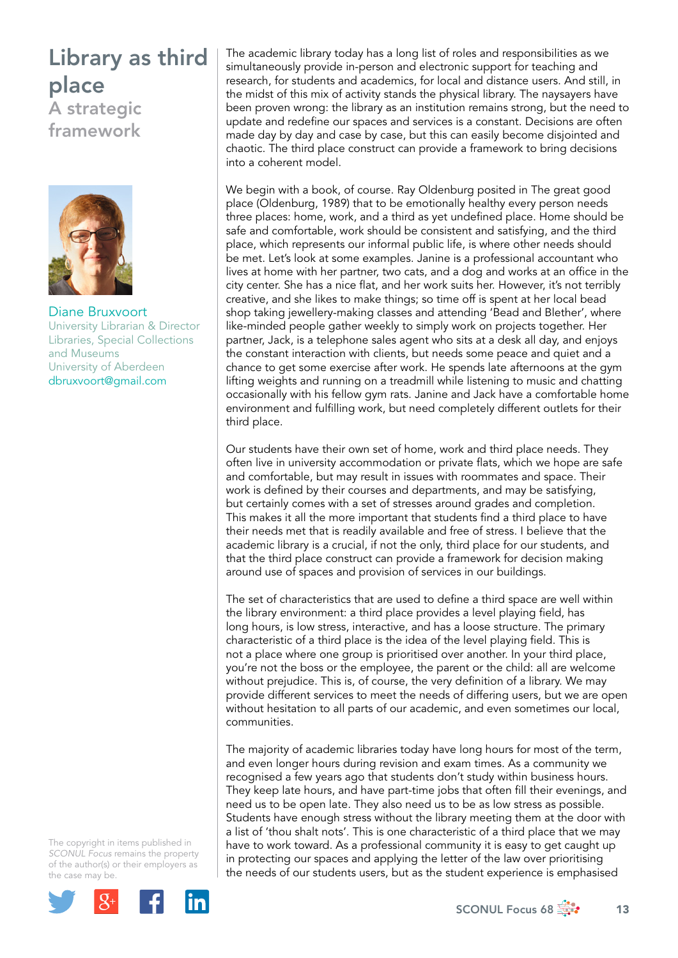## Library as third place

A strategic framework



Diane Bruxvoort University Librarian & Director Libraries, Special Collections and Museums University of Aberdeen [dbruxvoort@gmail.com](mailto:dbruxvoort@gmail.com)

The copyright in items published in *SCONUL Focus* remains the property of the author(s) or their employers as the case may be.



The academic library today has a long list of roles and responsibilities as we simultaneously provide in-person and electronic support for teaching and research, for students and academics, for local and distance users. And still, in the midst of this mix of activity stands the physical library. The naysayers have been proven wrong: the library as an institution remains strong, but the need to update and redefine our spaces and services is a constant. Decisions are often made day by day and case by case, but this can easily become disjointed and chaotic. The third place construct can provide a framework to bring decisions into a coherent model.

We begin with a book, of course. Ray Oldenburg posited in The great good place (Oldenburg, 1989) that to be emotionally healthy every person needs three places: home, work, and a third as yet undefined place. Home should be safe and comfortable, work should be consistent and satisfying, and the third place, which represents our informal public life, is where other needs should be met. Let's look at some examples. Janine is a professional accountant who lives at home with her partner, two cats, and a dog and works at an office in the city center. She has a nice flat, and her work suits her. However, it's not terribly creative, and she likes to make things; so time off is spent at her local bead shop taking jewellery-making classes and attending 'Bead and Blether', where like-minded people gather weekly to simply work on projects together. Her partner, Jack, is a telephone sales agent who sits at a desk all day, and enjoys the constant interaction with clients, but needs some peace and quiet and a chance to get some exercise after work. He spends late afternoons at the gym lifting weights and running on a treadmill while listening to music and chatting occasionally with his fellow gym rats. Janine and Jack have a comfortable home environment and fulfilling work, but need completely different outlets for their third place.

Our students have their own set of home, work and third place needs. They often live in university accommodation or private flats, which we hope are safe and comfortable, but may result in issues with roommates and space. Their work is defined by their courses and departments, and may be satisfying, but certainly comes with a set of stresses around grades and completion. This makes it all the more important that students find a third place to have their needs met that is readily available and free of stress. I believe that the academic library is a crucial, if not the only, third place for our students, and that the third place construct can provide a framework for decision making around use of spaces and provision of services in our buildings.

The set of characteristics that are used to define a third space are well within the library environment: a third place provides a level playing field, has long hours, is low stress, interactive, and has a loose structure. The primary characteristic of a third place is the idea of the level playing field. This is not a place where one group is prioritised over another. In your third place, you're not the boss or the employee, the parent or the child: all are welcome without prejudice. This is, of course, the very definition of a library. We may provide different services to meet the needs of differing users, but we are open without hesitation to all parts of our academic, and even sometimes our local, communities.

The majority of academic libraries today have long hours for most of the term, and even longer hours during revision and exam times. As a community we recognised a few years ago that students don't study within business hours. They keep late hours, and have part-time jobs that often fill their evenings, and need us to be open late. They also need us to be as low stress as possible. Students have enough stress without the library meeting them at the door with a list of 'thou shalt nots'. This is one characteristic of a third place that we may have to work toward. As a professional community it is easy to get caught up in protecting our spaces and applying the letter of the law over prioritising the needs of our students users, but as the student experience is emphasised